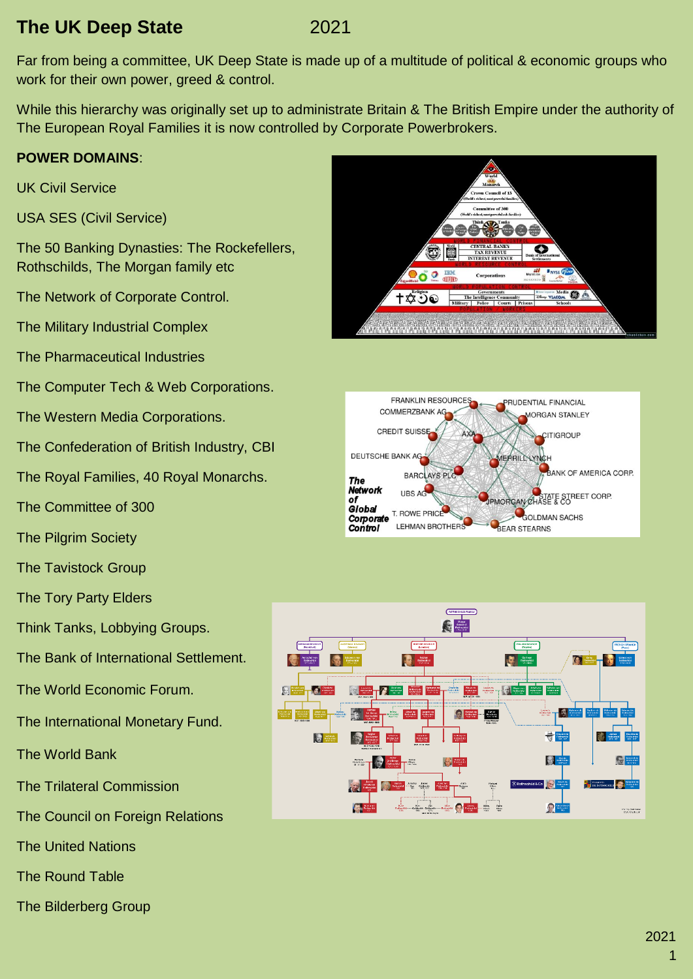### **The UK Deep State** 2021

Far from being a committee, UK Deep State is made up of a multitude of political & economic groups who work for their own power, greed & control.

While this hierarchy was originally set up to administrate Britain & The British Empire under the authority of The European Royal Families it is now controlled by Corporate Powerbrokers.

### **POWER DOMAINS**:

UK Civil Service

USA SES (Civil Service)

The 50 Banking Dynasties: The Rockefellers, Rothschilds, The Morgan family etc

The Network of Corporate Control.

The Military Industrial Complex

The Pharmaceutical Industries

The Computer Tech & Web Corporations.

The Western Media Corporations.

The Confederation of British Industry, CBI

The Royal Families, 40 Royal Monarchs.

The Committee of 300

The Pilgrim Society

The Tavistock Group

The Tory Party Elders

Think Tanks, Lobbying Groups.

The Bank of International Settlement.

The World Economic Forum.

The International Monetary Fund.

The World Bank

The Trilateral Commission

The Council on Foreign Relations

The United Nations

The Round Table

The Bilderberg Group





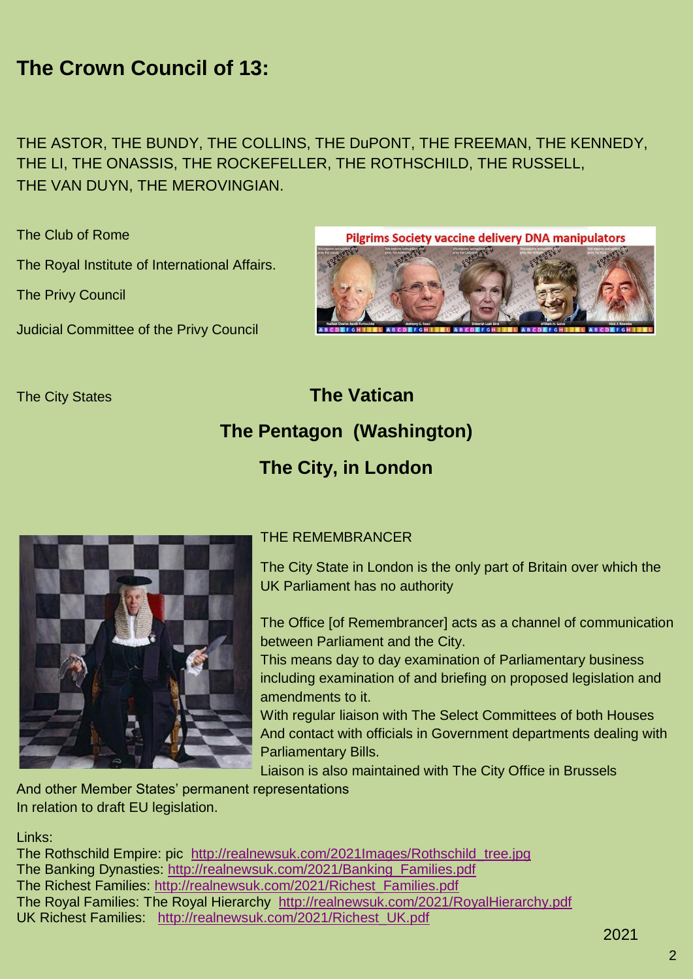## **The Crown Council of 13:**

THE ASTOR, THE BUNDY, THE COLLINS, THE DuPONT, THE FREEMAN, THE KENNEDY, THE LI, THE ONASSIS, THE ROCKEFELLER, THE ROTHSCHILD, THE RUSSELL, THE VAN DUYN, THE MEROVINGIAN.

The Club of Rome

The Royal Institute of International Affairs.

The Privy Council

Judicial Committee of the Privy Council



# The City States **The Vatican The Pentagon (Washington) The City, in London**



#### THE REMEMBRANCER

The City State in London is the only part of Britain over which the UK Parliament has no authority

The Office [of Remembrancer] acts as a channel of communication between Parliament and the City.

This means day to day examination of Parliamentary business including examination of and briefing on proposed legislation and amendments to it.

With regular liaison with The Select Committees of both Houses And contact with officials in Government departments dealing with Parliamentary Bills.

Liaison is also maintained with The City Office in Brussels

And other Member States' permanent representations In relation to draft EU legislation.

Links:

The Rothschild Empire: pic http://realnewsuk.com/2021Images/Rothschild tree.jpg The Banking Dynasties: [http://realnewsuk.com/2021/Banking\\_Families.pdf](http://realnewsuk.com/2021/Banking_Families.pdf) The Richest Families: [http://realnewsuk.com/2021/Richest\\_Families.pdf](http://realnewsuk.com/2021/Richest_Families.pdf) The Royal Families: The Royal Hierarchy <http://realnewsuk.com/2021/RoyalHierarchy.pdf> UK Richest Families: [http://realnewsuk.com/2021/Richest\\_UK.pdf](http://realnewsuk.com/2021/Richest_UK.pdf)

2021